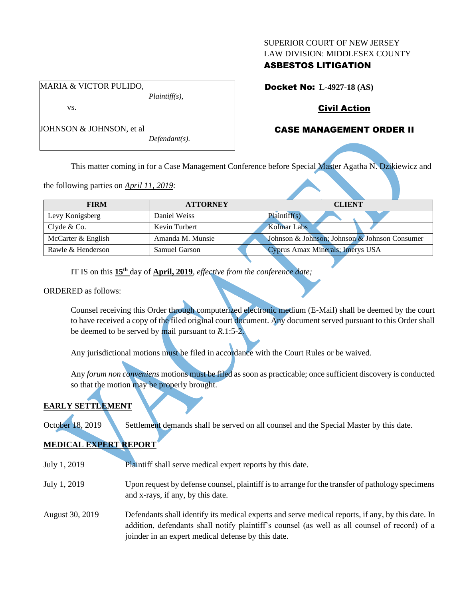### SUPERIOR COURT OF NEW JERSEY LAW DIVISION: MIDDLESEX COUNTY

## ASBESTOS LITIGATION

Docket No: **L-4927-18 (AS)** 

# Civil Action

# CASE MANAGEMENT ORDER II

JOHNSON & JOHNSON, et al

*Defendant(s).*

*Plaintiff(s),*

This matter coming in for a Case Management Conference before Special Master Agatha N. Dzikiewicz and

the following parties on *April 11, 2019:*

MARIA & VICTOR PULIDO,

vs.

| <b>FIRM</b>        | <b>ATTORNEY</b>      | <b>CLIENT</b>                                 |
|--------------------|----------------------|-----------------------------------------------|
| Levy Konigsberg    | Daniel Weiss         | Plaintiff(s)                                  |
| Clyde $& Co.$      | Kevin Turbert        | Kolmar Labs                                   |
| McCarter & English | Amanda M. Munsie     | Johnson & Johnson; Johnson & Johnson Consumer |
| Rawle & Henderson  | <b>Samuel Garson</b> | Cyprus Amax Minerals; Imerys USA              |

IT IS on this  $15<sup>th</sup>$  day of **April, 2019**, *effective from the conference date*;

ORDERED as follows:

Counsel receiving this Order through computerized electronic medium (E-Mail) shall be deemed by the court to have received a copy of the filed original court document. Any document served pursuant to this Order shall be deemed to be served by mail pursuant to *R*.1:5-2.

Any jurisdictional motions must be filed in accordance with the Court Rules or be waived.

Any *forum non conveniens* motions must be filed as soon as practicable; once sufficient discovery is conducted so that the motion may be properly brought.

# **EARLY SETTLEMENT**

October 18, 2019 Settlement demands shall be served on all counsel and the Special Master by this date.

# **MEDICAL EXPERT REPORT**

- July 1, 2019 Plaintiff shall serve medical expert reports by this date.
- July 1, 2019 Upon request by defense counsel, plaintiff is to arrange for the transfer of pathology specimens and x-rays, if any, by this date.
- August 30, 2019 Defendants shall identify its medical experts and serve medical reports, if any, by this date. In addition, defendants shall notify plaintiff's counsel (as well as all counsel of record) of a joinder in an expert medical defense by this date.